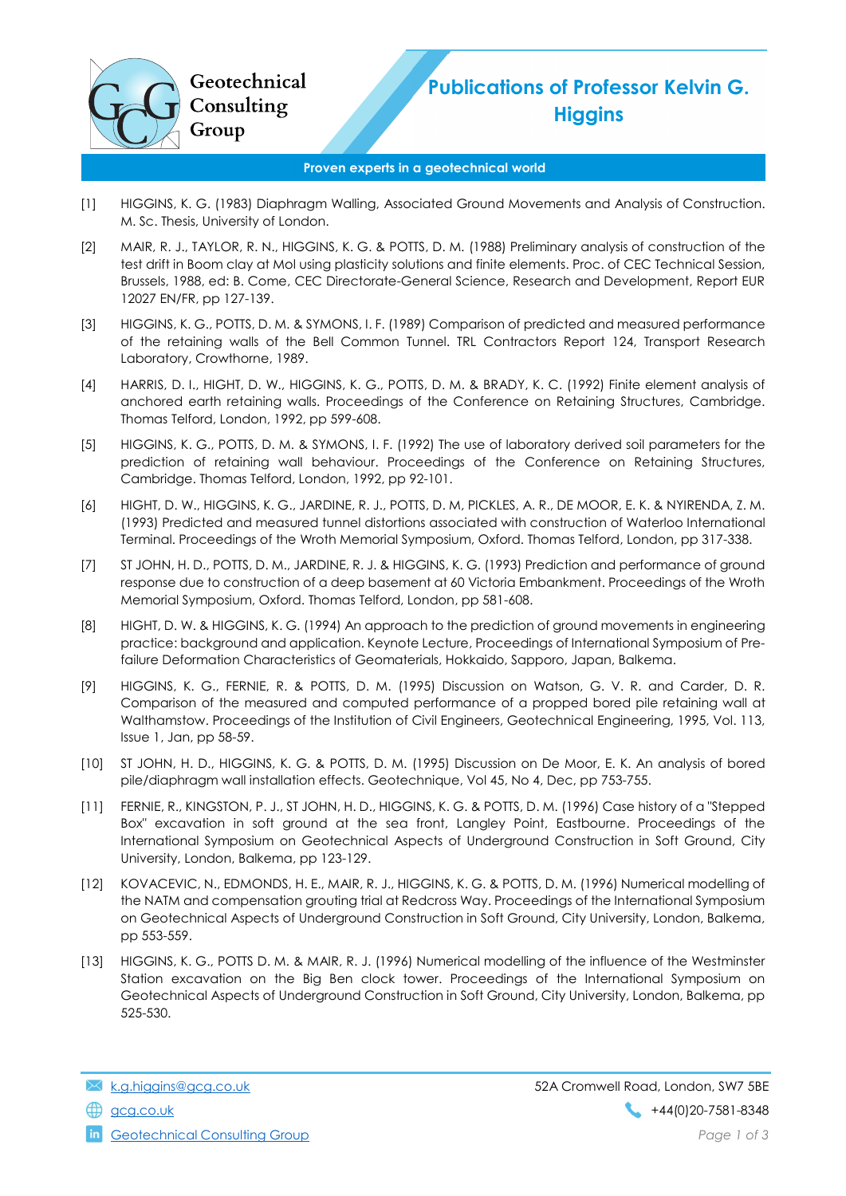

## Publications of Professor Kelvin G. **Higgins**

## Proven experts in a geotechnical world

- [1] HIGGINS, K. G. (1983) Diaphragm Walling, Associated Ground Movements and Analysis of Construction. M. Sc. Thesis, University of London.
- [2] MAIR, R. J., TAYLOR, R. N., HIGGINS, K. G. & POTTS, D. M. (1988) Preliminary analysis of construction of the test drift in Boom clay at Mol using plasticity solutions and finite elements. Proc. of CEC Technical Session, Brussels, 1988, ed: B. Come, CEC Directorate-General Science, Research and Development, Report EUR 12027 EN/FR, pp 127-139.
- [3] HIGGINS, K. G., POTTS, D. M. & SYMONS, I. F. (1989) Comparison of predicted and measured performance of the retaining walls of the Bell Common Tunnel. TRL Contractors Report 124, Transport Research Laboratory, Crowthorne, 1989.
- [4] HARRIS, D. I., HIGHT, D. W., HIGGINS, K. G., POTTS, D. M. & BRADY, K. C. (1992) Finite element analysis of anchored earth retaining walls. Proceedings of the Conference on Retaining Structures, Cambridge. Thomas Telford, London, 1992, pp 599-608.
- [5] HIGGINS, K. G., POTTS, D. M. & SYMONS, I. F. (1992) The use of laboratory derived soil parameters for the prediction of retaining wall behaviour. Proceedings of the Conference on Retaining Structures, Cambridge. Thomas Telford, London, 1992, pp 92-101.
- [6] HIGHT, D. W., HIGGINS, K. G., JARDINE, R. J., POTTS, D. M, PICKLES, A. R., DE MOOR, E. K. & NYIRENDA, Z. M. (1993) Predicted and measured tunnel distortions associated with construction of Waterloo International Terminal. Proceedings of the Wroth Memorial Symposium, Oxford. Thomas Telford, London, pp 317-338.
- [7] ST JOHN, H. D., POTTS, D. M., JARDINE, R. J. & HIGGINS, K. G. (1993) Prediction and performance of ground response due to construction of a deep basement at 60 Victoria Embankment. Proceedings of the Wroth Memorial Symposium, Oxford. Thomas Telford, London, pp 581-608.
- [8] HIGHT, D. W. & HIGGINS, K. G. (1994) An approach to the prediction of ground movements in engineering practice: background and application. Keynote Lecture, Proceedings of International Symposium of Prefailure Deformation Characteristics of Geomaterials, Hokkaido, Sapporo, Japan, Balkema.
- [9] HIGGINS, K. G., FERNIE, R. & POTTS, D. M. (1995) Discussion on Watson, G. V. R. and Carder, D. R. Comparison of the measured and computed performance of a propped bored pile retaining wall at Walthamstow. Proceedings of the Institution of Civil Engineers, Geotechnical Engineering, 1995, Vol. 113, Issue 1, Jan, pp 58-59.
- [10] ST JOHN, H. D., HIGGINS, K. G. & POTTS, D. M. (1995) Discussion on De Moor, E. K. An analysis of bored pile/diaphragm wall installation effects. Geotechnique, Vol 45, No 4, Dec, pp 753-755.
- [11] FERNIE, R., KINGSTON, P. J., ST JOHN, H. D., HIGGINS, K. G. & POTTS, D. M. (1996) Case history of a "Stepped Box" excavation in soft ground at the sea front, Langley Point, Eastbourne. Proceedings of the International Symposium on Geotechnical Aspects of Underground Construction in Soft Ground, City University, London, Balkema, pp 123-129.
- [12] KOVACEVIC, N., EDMONDS, H. E., MAIR, R. J., HIGGINS, K. G. & POTTS, D. M. (1996) Numerical modelling of the NATM and compensation grouting trial at Redcross Way. Proceedings of the International Symposium on Geotechnical Aspects of Underground Construction in Soft Ground, City University, London, Balkema, pp 553-559.
- [13] HIGGINS, K. G., POTTS D. M. & MAIR, R. J. (1996) Numerical modelling of the influence of the Westminster Station excavation on the Big Ben clock tower. Proceedings of the International Symposium on Geotechnical Aspects of Underground Construction in Soft Ground, City University, London, Balkema, pp 525-530.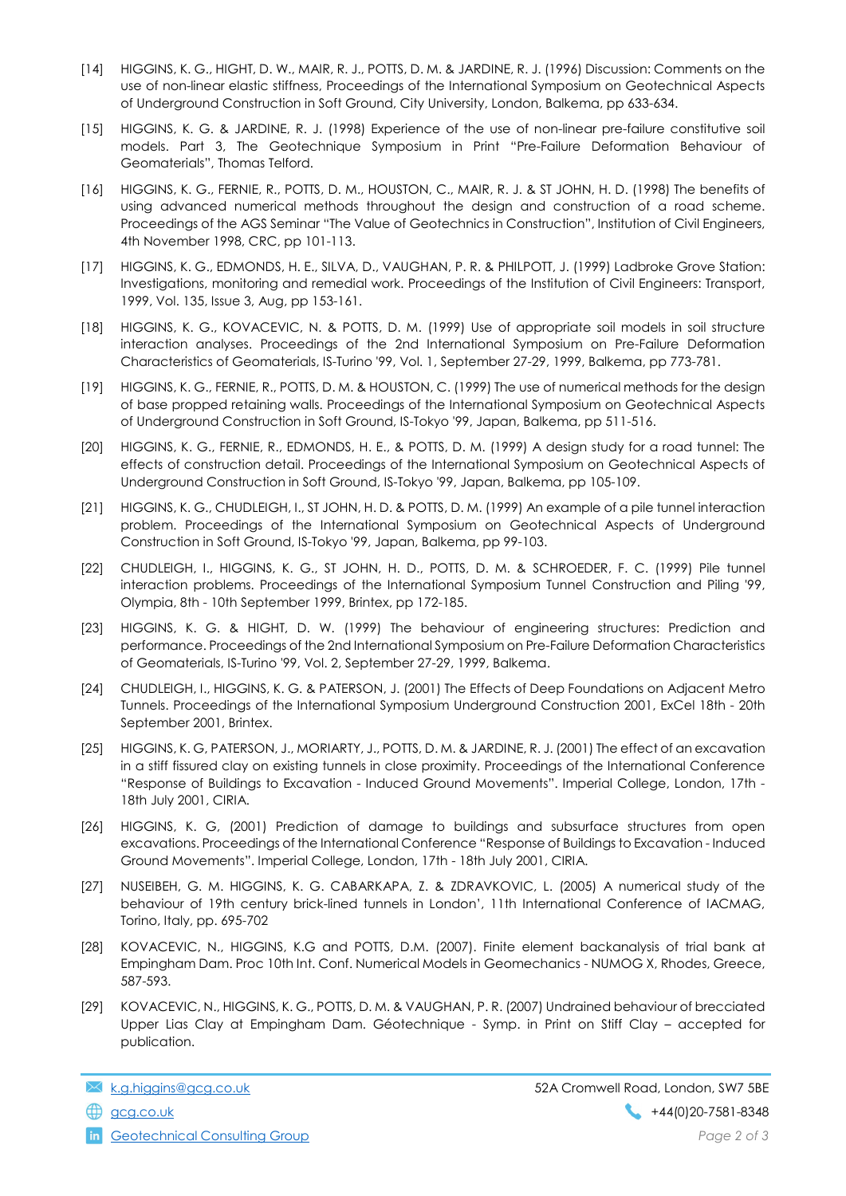- [14] HIGGINS, K. G., HIGHT, D. W., MAIR, R. J., POTTS, D. M. & JARDINE, R. J. (1996) Discussion: Comments on the use of non-linear elastic stiffness, Proceedings of the International Symposium on Geotechnical Aspects of Underground Construction in Soft Ground, City University, London, Balkema, pp 633-634.
- [15] HIGGINS, K. G. & JARDINE, R. J. (1998) Experience of the use of non-linear pre-failure constitutive soil models. Part 3, The Geotechnique Symposium in Print "Pre-Failure Deformation Behaviour of Geomaterials", Thomas Telford.
- [16] HIGGINS, K. G., FERNIE, R., POTTS, D. M., HOUSTON, C., MAIR, R. J. & ST JOHN, H. D. (1998) The benefits of using advanced numerical methods throughout the design and construction of a road scheme. Proceedings of the AGS Seminar "The Value of Geotechnics in Construction", Institution of Civil Engineers, 4th November 1998, CRC, pp 101-113.
- [17] HIGGINS, K. G., EDMONDS, H. E., SILVA, D., VAUGHAN, P. R. & PHILPOTT, J. (1999) Ladbroke Grove Station: Investigations, monitoring and remedial work. Proceedings of the Institution of Civil Engineers: Transport, 1999, Vol. 135, Issue 3, Aug, pp 153-161.
- [18] HIGGINS, K. G., KOVACEVIC, N. & POTTS, D. M. (1999) Use of appropriate soil models in soil structure interaction analyses. Proceedings of the 2nd International Symposium on Pre-Failure Deformation Characteristics of Geomaterials, IS-Turino '99, Vol. 1, September 27-29, 1999, Balkema, pp 773-781.
- [19] HIGGINS, K. G., FERNIE, R., POTTS, D. M. & HOUSTON, C. (1999) The use of numerical methods for the design of base propped retaining walls. Proceedings of the International Symposium on Geotechnical Aspects of Underground Construction in Soft Ground, IS-Tokyo '99, Japan, Balkema, pp 511-516.
- [20] HIGGINS, K. G., FERNIE, R., EDMONDS, H. E., & POTTS, D. M. (1999) A design study for a road tunnel: The effects of construction detail. Proceedings of the International Symposium on Geotechnical Aspects of Underground Construction in Soft Ground, IS-Tokyo '99, Japan, Balkema, pp 105-109.
- [21] HIGGINS, K. G., CHUDLEIGH, I., ST JOHN, H. D. & POTTS, D. M. (1999) An example of a pile tunnel interaction problem. Proceedings of the International Symposium on Geotechnical Aspects of Underground Construction in Soft Ground, IS-Tokyo '99, Japan, Balkema, pp 99-103.
- [22] CHUDLEIGH, I., HIGGINS, K. G., ST JOHN, H. D., POTTS, D. M. & SCHROEDER, F. C. (1999) Pile tunnel interaction problems. Proceedings of the International Symposium Tunnel Construction and Piling '99, Olympia, 8th - 10th September 1999, Brintex, pp 172-185.
- [23] HIGGINS, K. G. & HIGHT, D. W. (1999) The behaviour of engineering structures: Prediction and performance. Proceedings of the 2nd International Symposium on Pre-Failure Deformation Characteristics of Geomaterials, IS-Turino '99, Vol. 2, September 27-29, 1999, Balkema.
- [24] CHUDLEIGH, I., HIGGINS, K. G. & PATERSON, J. (2001) The Effects of Deep Foundations on Adjacent Metro Tunnels. Proceedings of the International Symposium Underground Construction 2001, ExCel 18th - 20th September 2001, Brintex.
- [25] HIGGINS, K. G, PATERSON, J., MORIARTY, J., POTTS, D. M. & JARDINE, R. J. (2001) The effect of an excavation in a stiff fissured clay on existing tunnels in close proximity. Proceedings of the International Conference "Response of Buildings to Excavation - Induced Ground Movements". Imperial College, London, 17th - 18th July 2001, CIRIA.
- [26] HIGGINS, K. G, (2001) Prediction of damage to buildings and subsurface structures from open excavations. Proceedings of the International Conference "Response of Buildings to Excavation - Induced Ground Movements". Imperial College, London, 17th - 18th July 2001, CIRIA.
- [27] NUSEIBEH, G. M. HIGGINS, K. G. CABARKAPA, Z. & ZDRAVKOVIC, L. (2005) A numerical study of the behaviour of 19th century brick-lined tunnels in London', 11th International Conference of IACMAG, Torino, Italy, pp. 695-702
- [28] KOVACEVIC, N., HIGGINS, K.G and POTTS, D.M. (2007). Finite element backanalysis of trial bank at Empingham Dam. Proc 10th Int. Conf. Numerical Models in Geomechanics - NUMOG X, Rhodes, Greece, 587-593.
- [29] KOVACEVIC, N., HIGGINS, K. G., POTTS, D. M. & VAUGHAN, P. R. (2007) Undrained behaviour of brecciated Upper Lias Clay at Empingham Dam. Géotechnique - Symp. in Print on Stiff Clay – accepted for publication.

**in** Geotechnical Consulting Group **Page 2 of 3** and 2 of 3